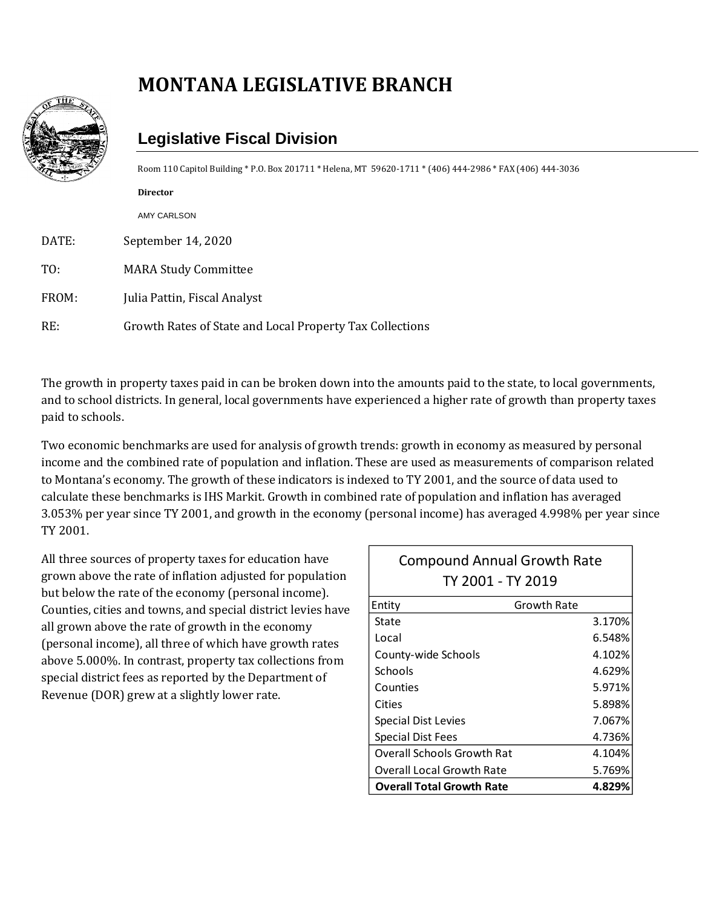## **MONTANA LEGISLATIVE BRANCH**



## **Legislative Fiscal Division**

Room 110 Capitol Building \* P.O. Box 201711 \* Helena, MT 59620-1711 \* (406) 444-2986 \* FAX (406) 444-3036

| $\leqslant$ $\leqslant$ |                                                          |
|-------------------------|----------------------------------------------------------|
|                         | <b>Director</b>                                          |
|                         | <b>AMY CARLSON</b>                                       |
| DATE:                   | September 14, 2020                                       |
| TO:                     | <b>MARA Study Committee</b>                              |
| FROM:                   | Julia Pattin, Fiscal Analyst                             |
| RE:                     | Growth Rates of State and Local Property Tax Collections |

The growth in property taxes paid in can be broken down into the amounts paid to the state, to local governments, and to school districts. In general, local governments have experienced a higher rate of growth than property taxes paid to schools.

Two economic benchmarks are used for analysis of growth trends: growth in economy as measured by personal income and the combined rate of population and inflation. These are used as measurements of comparison related to Montana's economy. The growth of these indicators is indexed to TY 2001, and the source of data used to calculate these benchmarks is IHS Markit. Growth in combined rate of population and inflation has averaged 3.053% per year since TY 2001, and growth in the economy (personal income) has averaged 4.998% per year since TY 2001.

All three sources of property taxes for education have grown above the rate of inflation adjusted for population but below the rate of the economy (personal income). Counties, cities and towns, and special district levies have all grown above the rate of growth in the economy (personal income), all three of which have growth rates above 5.000%. In contrast, property tax collections from special district fees as reported by the Department of Revenue (DOR) grew at a slightly lower rate.

| <b>Compound Annual Growth Rate</b><br>TY 2001 - TY 2019 |             |  |  |
|---------------------------------------------------------|-------------|--|--|
| Entity                                                  | Growth Rate |  |  |
| State                                                   | 3.170%      |  |  |
| Local                                                   | 6.548%      |  |  |
| County-wide Schools                                     | 4.102%      |  |  |
| Schools                                                 | 4.629%      |  |  |
| Counties                                                | 5.971%      |  |  |
| Cities                                                  | 5.898%      |  |  |
| <b>Special Dist Levies</b>                              | 7.067%      |  |  |
| <b>Special Dist Fees</b>                                | 4.736%      |  |  |
| <b>Overall Schools Growth Rat</b>                       | 4.104%      |  |  |
| Overall Local Growth Rate                               | 5.769%      |  |  |
| <b>Overall Total Growth Rate</b>                        | 4.829%      |  |  |